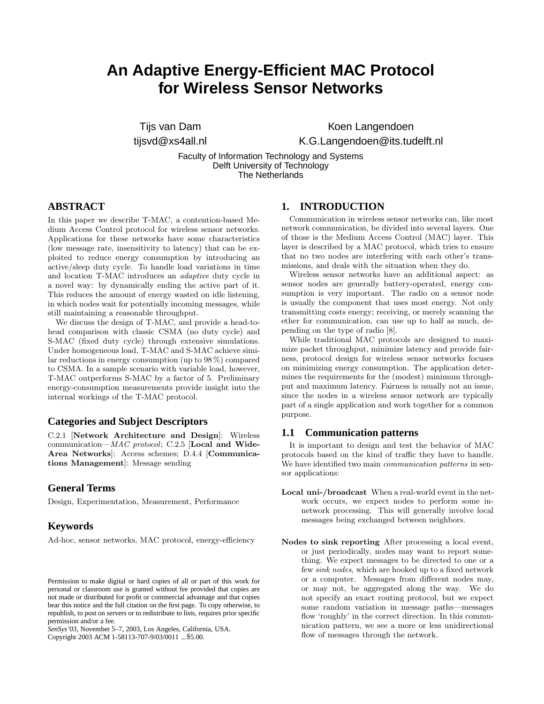# **An Adaptive Energy-Efficient MAC Protocol for Wireless Sensor Networks**

Tijs van Dam tijsvd@xs4all.nl

Koen Langendoen K.G.Langendoen@its.tudelft.nl

Faculty of Information Technology and Systems Delft University of Technology The Netherlands

# **ABSTRACT**

In this paper we describe T-MAC, a contention-based Medium Access Control protocol for wireless sensor networks. Applications for these networks have some characteristics (low message rate, insensitivity to latency) that can be exploited to reduce energy consumption by introducing an active/sleep duty cycle. To handle load variations in time and location T-MAC introduces an adaptive duty cycle in a novel way: by dynamically ending the active part of it. This reduces the amount of energy wasted on idle listening, in which nodes wait for potentially incoming messages, while still maintaining a reasonable throughput.

We discuss the design of T-MAC, and provide a head-tohead comparison with classic CSMA (no duty cycle) and S-MAC (fixed duty cycle) through extensive simulations. Under homogeneous load, T-MAC and S-MAC achieve similar reductions in energy consumption (up to 98 %) compared to CSMA. In a sample scenario with variable load, however, T-MAC outperforms S-MAC by a factor of 5. Preliminary energy-consumption measurements provide insight into the internal workings of the T-MAC protocol.

# **Categories and Subject Descriptors**

C.2.1 [Network Architecture and Design]: Wireless communication—MAC protocol; C.2.5 [Local and Wide-Area Networks]: Access schemes; D.4.4 [Communications Management]: Message sending

## **General Terms**

Design, Experimentation, Measurement, Performance

## **Keywords**

Ad-hoc, sensor networks, MAC protocol, energy-efficiency

*SenSys'03,* November 5–7, 2003, Los Angeles, California, USA. Copyright 2003 ACM 1-58113-707-9/03/0011 ...\$5.00.

## **1. INTRODUCTION**

Communication in wireless sensor networks can, like most network communication, be divided into several layers. One of those is the Medium Access Control (MAC) layer. This layer is described by a MAC protocol, which tries to ensure that no two nodes are interfering with each other's transmissions, and deals with the situation when they do.

Wireless sensor networks have an additional aspect: as sensor nodes are generally battery-operated, energy consumption is very important. The radio on a sensor node is usually the component that uses most energy. Not only transmitting costs energy; receiving, or merely scanning the ether for communication, can use up to half as much, depending on the type of radio [8].

While traditional MAC protocols are designed to maximize packet throughput, minimize latency and provide fairness, protocol design for wireless sensor networks focuses on minimizing energy consumption. The application determines the requirements for the (modest) minimum throughput and maximum latency. Fairness is usually not an issue, since the nodes in a wireless sensor network are typically part of a single application and work together for a common purpose.

## **1.1 Communication patterns**

It is important to design and test the behavior of MAC protocols based on the kind of traffic they have to handle. We have identified two main communication patterns in sensor applications:

- Local uni-/broadcast When a real-world event in the network occurs, we expect nodes to perform some innetwork processing. This will generally involve local messages being exchanged between neighbors.
- Nodes to sink reporting After processing a local event, or just periodically, nodes may want to report something. We expect messages to be directed to one or a few sink nodes, which are hooked up to a fixed network or a computer. Messages from different nodes may, or may not, be aggregated along the way. We do not specify an exact routing protocol, but we expect some random variation in message paths—messages flow 'roughly' in the correct direction. In this communication pattern, we see a more or less unidirectional flow of messages through the network.

Permission to make digital or hard copies of all or part of this work for personal or classroom use is granted without fee provided that copies are not made or distributed for profit or commercial advantage and that copies bear this notice and the full citation on the first page. To copy otherwise, to republish, to post on servers or to redistribute to lists, requires prior specific permission and/or a fee.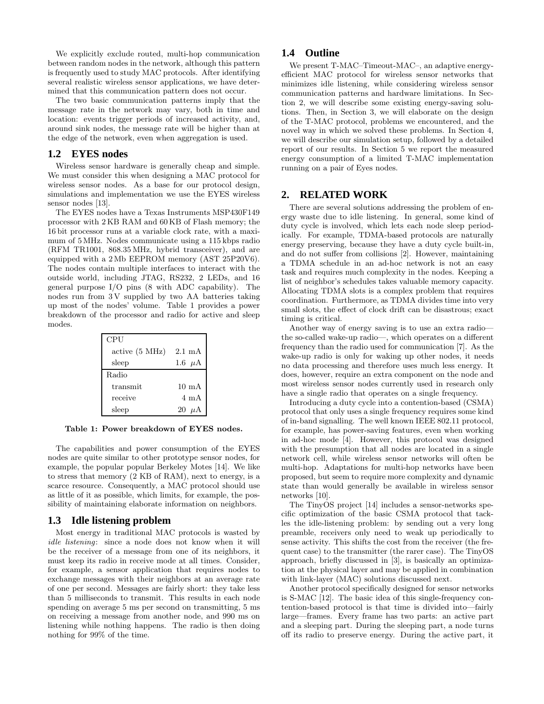We explicitly exclude routed, multi-hop communication between random nodes in the network, although this pattern is frequently used to study MAC protocols. After identifying several realistic wireless sensor applications, we have determined that this communication pattern does not occur.

The two basic communication patterns imply that the message rate in the network may vary, both in time and location: events trigger periods of increased activity, and, around sink nodes, the message rate will be higher than at the edge of the network, even when aggregation is used.

## **1.2 EYES nodes**

Wireless sensor hardware is generally cheap and simple. We must consider this when designing a MAC protocol for wireless sensor nodes. As a base for our protocol design, simulations and implementation we use the EYES wireless sensor nodes [13].

The EYES nodes have a Texas Instruments MSP430F149 processor with 2 KB RAM and 60 KB of Flash memory; the 16 bit processor runs at a variable clock rate, with a maximum of 5 MHz. Nodes communicate using a 115 kbps radio (RFM TR1001, 868.35 MHz, hybrid transceiver), and are equipped with a 2 Mb EEPROM memory (AST 25P20V6). The nodes contain multiple interfaces to interact with the outside world, including JTAG, RS232, 2 LEDs, and 16 general purpose I/O pins (8 with ADC capability). The nodes run from 3 V supplied by two AA batteries taking up most of the nodes' volume. Table 1 provides a power breakdown of the processor and radio for active and sleep modes.

| CPU            |                  |
|----------------|------------------|
| active (5 MHz) | $2.1 \text{ mA}$ |
| sleep          | 1.6 $\mu$ A      |
| Radio          |                  |
| transmit       | $10 \text{ mA}$  |
| receive        | $4 \text{ mA}$   |
| sleep          | 20<br>$\mu$ A    |

Table 1: Power breakdown of EYES nodes.

The capabilities and power consumption of the EYES nodes are quite similar to other prototype sensor nodes, for example, the popular popular Berkeley Motes [14]. We like to stress that memory (2 KB of RAM), next to energy, is a scarce resource. Consequently, a MAC protocol should use as little of it as possible, which limits, for example, the possibility of maintaining elaborate information on neighbors.

#### **1.3 Idle listening problem**

Most energy in traditional MAC protocols is wasted by idle listening: since a node does not know when it will be the receiver of a message from one of its neighbors, it must keep its radio in receive mode at all times. Consider, for example, a sensor application that requires nodes to exchange messages with their neighbors at an average rate of one per second. Messages are fairly short: they take less than 5 milliseconds to transmit. This results in each node spending on average 5 ms per second on transmitting, 5 ms on receiving a message from another node, and 990 ms on listening while nothing happens. The radio is then doing nothing for 99% of the time.

## **1.4 Outline**

We present T-MAC–Timeout-MAC–, an adaptive energyefficient MAC protocol for wireless sensor networks that minimizes idle listening, while considering wireless sensor communication patterns and hardware limitations. In Section 2, we will describe some existing energy-saving solutions. Then, in Section 3, we will elaborate on the design of the T-MAC protocol, problems we encountered, and the novel way in which we solved these problems. In Section 4, we will describe our simulation setup, followed by a detailed report of our results. In Section 5 we report the measured energy consumption of a limited T-MAC implementation running on a pair of Eyes nodes.

# **2. RELATED WORK**

There are several solutions addressing the problem of energy waste due to idle listening. In general, some kind of duty cycle is involved, which lets each node sleep periodically. For example, TDMA-based protocols are naturally energy preserving, because they have a duty cycle built-in, and do not suffer from collisions [2]. However, maintaining a TDMA schedule in an ad-hoc network is not an easy task and requires much complexity in the nodes. Keeping a list of neighbor's schedules takes valuable memory capacity. Allocating TDMA slots is a complex problem that requires coordination. Furthermore, as TDMA divides time into very small slots, the effect of clock drift can be disastrous; exact timing is critical.

Another way of energy saving is to use an extra radio the so-called wake-up radio—, which operates on a different frequency than the radio used for communication [7]. As the wake-up radio is only for waking up other nodes, it needs no data processing and therefore uses much less energy. It does, however, require an extra component on the node and most wireless sensor nodes currently used in research only have a single radio that operates on a single frequency.

Introducing a duty cycle into a contention-based (CSMA) protocol that only uses a single frequency requires some kind of in-band signalling. The well known IEEE 802.11 protocol, for example, has power-saving features, even when working in ad-hoc mode [4]. However, this protocol was designed with the presumption that all nodes are located in a single network cell, while wireless sensor networks will often be multi-hop. Adaptations for multi-hop networks have been proposed, but seem to require more complexity and dynamic state than would generally be available in wireless sensor networks [10].

The TinyOS project [14] includes a sensor-networks specific optimization of the basic CSMA protocol that tackles the idle-listening problem: by sending out a very long preamble, receivers only need to weak up periodically to sense activity. This shifts the cost from the receiver (the frequent case) to the transmitter (the rarer case). The TinyOS approach, briefly discussed in [3], is basically an optimization at the physical layer and may be applied in combination with link-layer (MAC) solutions discussed next.

Another protocol specifically designed for sensor networks is S-MAC [12]. The basic idea of this single-frequency contention-based protocol is that time is divided into—fairly large—frames. Every frame has two parts: an active part and a sleeping part. During the sleeping part, a node turns off its radio to preserve energy. During the active part, it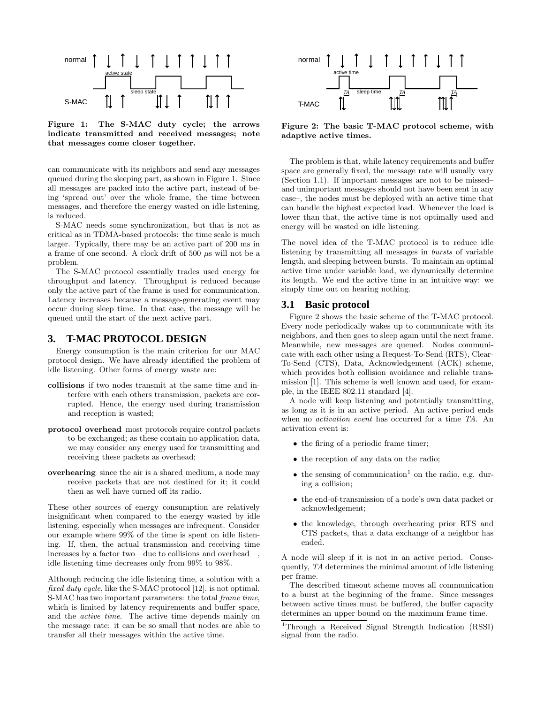

Figure 1: The S-MAC duty cycle; the arrows indicate transmitted and received messages; note that messages come closer together.

can communicate with its neighbors and send any messages queued during the sleeping part, as shown in Figure 1. Since all messages are packed into the active part, instead of being 'spread out' over the whole frame, the time between messages, and therefore the energy wasted on idle listening, is reduced.

S-MAC needs some synchronization, but that is not as critical as in TDMA-based protocols: the time scale is much larger. Typically, there may be an active part of 200 ms in a frame of one second. A clock drift of  $500 \mu s$  will not be a problem.

The S-MAC protocol essentially trades used energy for throughput and latency. Throughput is reduced because only the active part of the frame is used for communication. Latency increases because a message-generating event may occur during sleep time. In that case, the message will be queued until the start of the next active part.

## **3. T-MAC PROTOCOL DESIGN**

Energy consumption is the main criterion for our MAC protocol design. We have already identified the problem of idle listening. Other forms of energy waste are:

- collisions if two nodes transmit at the same time and interfere with each others transmission, packets are corrupted. Hence, the energy used during transmission and reception is wasted;
- protocol overhead most protocols require control packets to be exchanged; as these contain no application data, we may consider any energy used for transmitting and receiving these packets as overhead;
- overhearing since the air is a shared medium, a node may receive packets that are not destined for it; it could then as well have turned off its radio.

These other sources of energy consumption are relatively insignificant when compared to the energy wasted by idle listening, especially when messages are infrequent. Consider our example where 99% of the time is spent on idle listening. If, then, the actual transmission and receiving time increases by a factor two—due to collisions and overhead—, idle listening time decreases only from 99% to 98%.

Although reducing the idle listening time, a solution with a fixed duty cycle, like the S-MAC protocol [12], is not optimal. S-MAC has two important parameters: the total frame time, which is limited by latency requirements and buffer space, and the active time. The active time depends mainly on the message rate: it can be so small that nodes are able to transfer all their messages within the active time.



Figure 2: The basic T-MAC protocol scheme, with adaptive active times.

The problem is that, while latency requirements and buffer space are generally fixed, the message rate will usually vary (Section 1.1). If important messages are not to be missed– and unimportant messages should not have been sent in any case–, the nodes must be deployed with an active time that can handle the highest expected load. Whenever the load is lower than that, the active time is not optimally used and energy will be wasted on idle listening.

The novel idea of the T-MAC protocol is to reduce idle listening by transmitting all messages in bursts of variable length, and sleeping between bursts. To maintain an optimal active time under variable load, we dynamically determine its length. We end the active time in an intuitive way: we simply time out on hearing nothing.

#### **3.1 Basic protocol**

Figure 2 shows the basic scheme of the T-MAC protocol. Every node periodically wakes up to communicate with its neighbors, and then goes to sleep again until the next frame. Meanwhile, new messages are queued. Nodes communicate with each other using a Request-To-Send (RTS), Clear-To-Send (CTS), Data, Acknowledgement (ACK) scheme, which provides both collision avoidance and reliable transmission [1]. This scheme is well known and used, for example, in the IEEE 802.11 standard [4].

A node will keep listening and potentially transmitting, as long as it is in an active period. An active period ends when no activation event has occurred for a time TA. An activation event is:

- the firing of a periodic frame timer;
- the reception of any data on the radio;
- $\bullet$  the sensing of communication<sup>1</sup> on the radio, e.g. during a collision;
- the end-of-transmission of a node's own data packet or acknowledgement;
- the knowledge, through overhearing prior RTS and CTS packets, that a data exchange of a neighbor has ended.

A node will sleep if it is not in an active period. Consequently, TA determines the minimal amount of idle listening per frame.

The described timeout scheme moves all communication to a burst at the beginning of the frame. Since messages between active times must be buffered, the buffer capacity determines an upper bound on the maximum frame time.

<sup>1</sup>Through a Received Signal Strength Indication (RSSI) signal from the radio.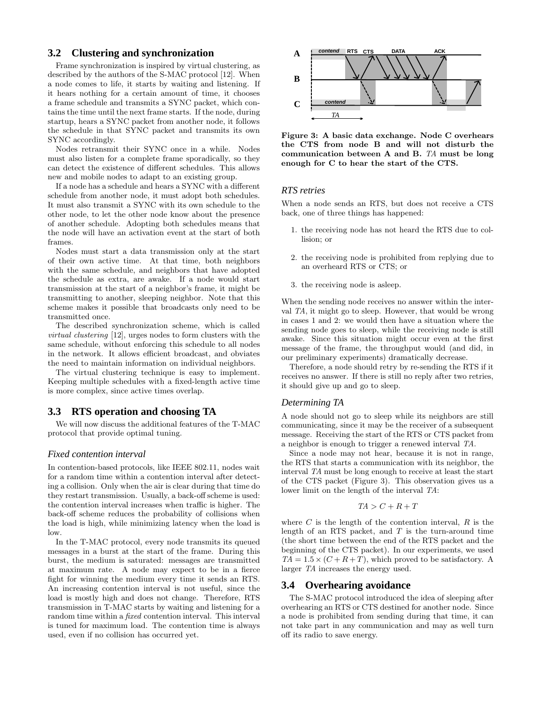## **3.2 Clustering and synchronization**

Frame synchronization is inspired by virtual clustering, as described by the authors of the S-MAC protocol [12]. When a node comes to life, it starts by waiting and listening. If it hears nothing for a certain amount of time, it chooses a frame schedule and transmits a SYNC packet, which contains the time until the next frame starts. If the node, during startup, hears a SYNC packet from another node, it follows the schedule in that SYNC packet and transmits its own SYNC accordingly.

Nodes retransmit their SYNC once in a while. Nodes must also listen for a complete frame sporadically, so they can detect the existence of different schedules. This allows new and mobile nodes to adapt to an existing group.

If a node has a schedule and hears a SYNC with a different schedule from another node, it must adopt both schedules. It must also transmit a SYNC with its own schedule to the other node, to let the other node know about the presence of another schedule. Adopting both schedules means that the node will have an activation event at the start of both frames.

Nodes must start a data transmission only at the start of their own active time. At that time, both neighbors with the same schedule, and neighbors that have adopted the schedule as extra, are awake. If a node would start transmission at the start of a neighbor's frame, it might be transmitting to another, sleeping neighbor. Note that this scheme makes it possible that broadcasts only need to be transmitted once.

The described synchronization scheme, which is called virtual clustering [12], urges nodes to form clusters with the same schedule, without enforcing this schedule to all nodes in the network. It allows efficient broadcast, and obviates the need to maintain information on individual neighbors.

The virtual clustering technique is easy to implement. Keeping multiple schedules with a fixed-length active time is more complex, since active times overlap.

#### **3.3 RTS operation and choosing TA**

We will now discuss the additional features of the T-MAC protocol that provide optimal tuning.

#### *Fixed contention interval*

In contention-based protocols, like IEEE 802.11, nodes wait for a random time within a contention interval after detecting a collision. Only when the air is clear during that time do they restart transmission. Usually, a back-off scheme is used: the contention interval increases when traffic is higher. The back-off scheme reduces the probability of collisions when the load is high, while minimizing latency when the load is low.

In the T-MAC protocol, every node transmits its queued messages in a burst at the start of the frame. During this burst, the medium is saturated: messages are transmitted at maximum rate. A node may expect to be in a fierce fight for winning the medium every time it sends an RTS. An increasing contention interval is not useful, since the load is mostly high and does not change. Therefore, RTS transmission in T-MAC starts by waiting and listening for a random time within a fixed contention interval. This interval is tuned for maximum load. The contention time is always used, even if no collision has occurred yet.



Figure 3: A basic data exchange. Node C overhears the CTS from node B and will not disturb the communication between A and B. TA must be long enough for C to hear the start of the CTS.

#### *RTS retries*

When a node sends an RTS, but does not receive a CTS back, one of three things has happened:

- 1. the receiving node has not heard the RTS due to collision; or
- 2. the receiving node is prohibited from replying due to an overheard RTS or CTS; or
- 3. the receiving node is asleep.

When the sending node receives no answer within the interval TA, it might go to sleep. However, that would be wrong in cases 1 and 2: we would then have a situation where the sending node goes to sleep, while the receiving node is still awake. Since this situation might occur even at the first message of the frame, the throughput would (and did, in our preliminary experiments) dramatically decrease.

Therefore, a node should retry by re-sending the RTS if it receives no answer. If there is still no reply after two retries, it should give up and go to sleep.

#### *Determining TA*

A node should not go to sleep while its neighbors are still communicating, since it may be the receiver of a subsequent message. Receiving the start of the RTS or CTS packet from a neighbor is enough to trigger a renewed interval TA.

Since a node may not hear, because it is not in range, the RTS that starts a communication with its neighbor, the interval TA must be long enough to receive at least the start of the CTS packet (Figure 3). This observation gives us a lower limit on the length of the interval TA:

$$
TA>C+R+T
$$

where  $C$  is the length of the contention interval,  $R$  is the length of an RTS packet, and  $T$  is the turn-around time (the short time between the end of the RTS packet and the beginning of the CTS packet). In our experiments, we used  $TA=1.5\times (C+R+T),$  which proved to be satisfactory. A larger TA increases the energy used.

#### **3.4 Overhearing avoidance**

The S-MAC protocol introduced the idea of sleeping after overhearing an RTS or CTS destined for another node. Since a node is prohibited from sending during that time, it can not take part in any communication and may as well turn off its radio to save energy.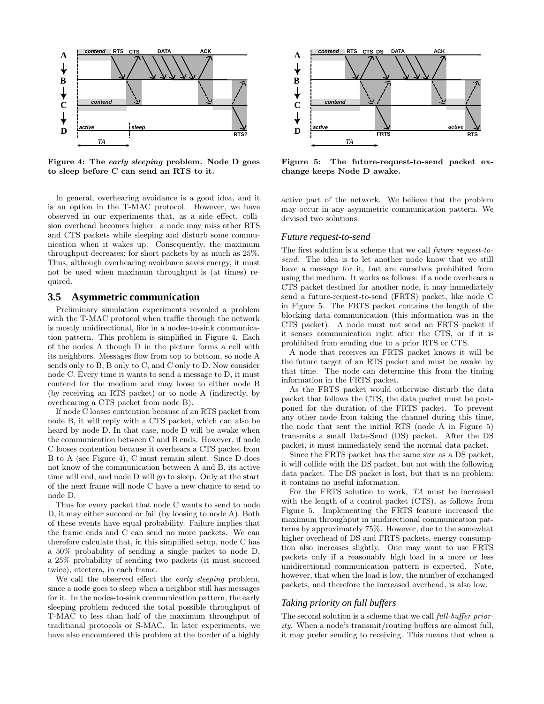

Figure 4: The early sleeping problem. Node D goes to sleep before C can send an RTS to it.

In general, overhearing avoidance is a good idea, and it is an option in the T-MAC protocol. However, we have observed in our experiments that, as a side effect, collision overhead becomes higher: a node may miss other RTS and CTS packets while sleeping and disturb some communication when it wakes up. Consequently, the maximum throughput decreases; for short packets by as much as 25%. Thus, although overhearing avoidance saves energy, it must not be used when maximum throughput is (at times) required.

### **3.5 Asymmetric communication**

Preliminary simulation experiments revealed a problem with the T-MAC protocol when traffic through the network is mostly unidirectional, like in a nodes-to-sink communication pattern. This problem is simplified in Figure 4. Each of the nodes A though D in the picture forms a cell with its neighbors. Messages flow from top to bottom, so node A sends only to B, B only to C, and C only to D. Now consider node C. Every time it wants to send a message to D, it must contend for the medium and may loose to either node B (by receiving an RTS packet) or to node A (indirectly, by overhearing a CTS packet from node B).

If node C looses contention because of an RTS packet from node B, it will reply with a CTS packet, which can also be heard by node D. In that case, node D will be awake when the communication between C and B ends. However, if node C looses contention because it overhears a CTS packet from B to A (see Figure 4), C must remain silent. Since D does not know of the communication between A and B, its active time will end, and node D will go to sleep. Only at the start of the next frame will node C have a new chance to send to node D.

Thus for every packet that node C wants to send to node D, it may either succeed or fail (by loosing to node A). Both of these events have equal probability. Failure implies that the frame ends and C can send no more packets. We can therefore calculate that, in this simplified setup, node C has a 50% probability of sending a single packet to node D, a 25% probability of sending two packets (it must succeed twice), etcetera, in each frame.

We call the observed effect the *early sleeping* problem, since a node goes to sleep when a neighbor still has messages for it. In the nodes-to-sink communication pattern, the early sleeping problem reduced the total possible throughput of T-MAC to less than half of the maximum throughput of traditional protocols or S-MAC. In later experiments, we have also encountered this problem at the border of a highly



Figure 5: The future-request-to-send packet exchange keeps Node D awake.

active part of the network. We believe that the problem may occur in any asymmetric communication pattern. We devised two solutions.

#### *Future request-to-send*

The first solution is a scheme that we call future request-tosend. The idea is to let another node know that we still have a message for it, but are ourselves prohibited from using the medium. It works as follows: if a node overhears a CTS packet destined for another node, it may immediately send a future-request-to-send (FRTS) packet, like node C in Figure 5. The FRTS packet contains the length of the blocking data communication (this information was in the CTS packet). A node must not send an FRTS packet if it senses communication right after the CTS, or if it is prohibited from sending due to a prior RTS or CTS.

A node that receives an FRTS packet knows it will be the future target of an RTS packet and must be awake by that time. The node can determine this from the timing information in the FRTS packet.

As the FRTS packet would otherwise disturb the data packet that follows the CTS, the data packet must be postponed for the duration of the FRTS packet. To prevent any other node from taking the channel during this time, the node that sent the initial RTS (node A in Figure 5) transmits a small Data-Send (DS) packet. After the DS packet, it must immediately send the normal data packet.

Since the FRTS packet has the same size as a DS packet, it will collide with the DS packet, but not with the following data packet. The DS packet is lost, but that is no problem: it contains no useful information.

For the FRTS solution to work, TA must be increased with the length of a control packet (CTS), as follows from Figure 5. Implementing the FRTS feature increased the maximum throughput in unidirectional communication patterns by approximately 75%. However, due to the somewhat higher overhead of DS and FRTS packets, energy consumption also increases slightly. One may want to use FRTS packets only if a reasonably high load in a more or less unidirectional communication pattern is expected. Note, however, that when the load is low, the number of exchanged packets, and therefore the increased overhead, is also low.

#### *Taking priority on full buffers*

The second solution is a scheme that we call full-buffer priority. When a node's transmit/routing buffers are almost full, it may prefer sending to receiving. This means that when a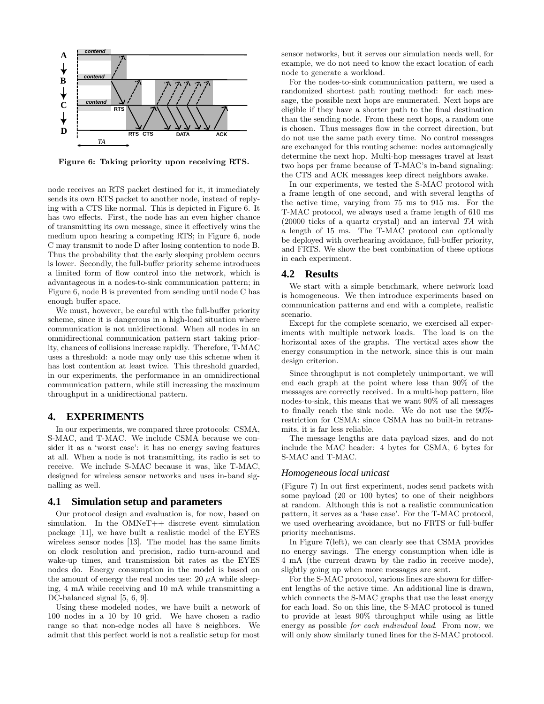

Figure 6: Taking priority upon receiving RTS.

node receives an RTS packet destined for it, it immediately sends its own RTS packet to another node, instead of replying with a CTS like normal. This is depicted in Figure 6. It has two effects. First, the node has an even higher chance of transmitting its own message, since it effectively wins the medium upon hearing a competing RTS; in Figure 6, node C may transmit to node D after losing contention to node B. Thus the probability that the early sleeping problem occurs is lower. Secondly, the full-buffer priority scheme introduces a limited form of flow control into the network, which is advantageous in a nodes-to-sink communication pattern; in Figure 6, node B is prevented from sending until node C has enough buffer space.

We must, however, be careful with the full-buffer priority scheme, since it is dangerous in a high-load situation where communication is not unidirectional. When all nodes in an omnidirectional communication pattern start taking priority, chances of collisions increase rapidly. Therefore, T-MAC uses a threshold: a node may only use this scheme when it has lost contention at least twice. This threshold guarded, in our experiments, the performance in an omnidirectional communication pattern, while still increasing the maximum throughput in a unidirectional pattern.

### **4. EXPERIMENTS**

In our experiments, we compared three protocols: CSMA, S-MAC, and T-MAC. We include CSMA because we consider it as a 'worst case': it has no energy saving features at all. When a node is not transmitting, its radio is set to receive. We include S-MAC because it was, like T-MAC, designed for wireless sensor networks and uses in-band signalling as well.

#### **4.1 Simulation setup and parameters**

Our protocol design and evaluation is, for now, based on simulation. In the OMNeT++ discrete event simulation package [11], we have built a realistic model of the EYES wireless sensor nodes [13]. The model has the same limits on clock resolution and precision, radio turn-around and wake-up times, and transmission bit rates as the EYES nodes do. Energy consumption in the model is based on the amount of energy the real nodes use:  $20 \mu A$  while sleeping, 4 mA while receiving and 10 mA while transmitting a DC-balanced signal [5, 6, 9].

Using these modeled nodes, we have built a network of 100 nodes in a 10 by 10 grid. We have chosen a radio range so that non-edge nodes all have 8 neighbors. We admit that this perfect world is not a realistic setup for most

sensor networks, but it serves our simulation needs well, for example, we do not need to know the exact location of each node to generate a workload.

For the nodes-to-sink communication pattern, we used a randomized shortest path routing method: for each message, the possible next hops are enumerated. Next hops are eligible if they have a shorter path to the final destination than the sending node. From these next hops, a random one is chosen. Thus messages flow in the correct direction, but do not use the same path every time. No control messages are exchanged for this routing scheme: nodes automagically determine the next hop. Multi-hop messages travel at least two hops per frame because of T-MAC's in-band signaling: the CTS and ACK messages keep direct neighbors awake.

In our experiments, we tested the S-MAC protocol with a frame length of one second, and with several lengths of the active time, varying from 75 ms to 915 ms. For the T-MAC protocol, we always used a frame length of 610 ms (20000 ticks of a quartz crystal) and an interval TA with a length of 15 ms. The T-MAC protocol can optionally be deployed with overhearing avoidance, full-buffer priority, and FRTS. We show the best combination of these options in each experiment.

#### **4.2 Results**

We start with a simple benchmark, where network load is homogeneous. We then introduce experiments based on communication patterns and end with a complete, realistic scenario.

Except for the complete scenario, we exercised all experiments with multiple network loads. The load is on the horizontal axes of the graphs. The vertical axes show the energy consumption in the network, since this is our main design criterion.

Since throughput is not completely unimportant, we will end each graph at the point where less than 90% of the messages are correctly received. In a multi-hop pattern, like nodes-to-sink, this means that we want 90% of all messages to finally reach the sink node. We do not use the 90% restriction for CSMA: since CSMA has no built-in retransmits, it is far less reliable.

The message lengths are data payload sizes, and do not include the MAC header: 4 bytes for CSMA, 6 bytes for S-MAC and T-MAC.

#### *Homogeneous local unicast*

(Figure 7) In out first experiment, nodes send packets with some payload (20 or 100 bytes) to one of their neighbors at random. Although this is not a realistic communication pattern, it serves as a 'base case'. For the T-MAC protocol, we used overhearing avoidance, but no FRTS or full-buffer priority mechanisms.

In Figure 7(left), we can clearly see that CSMA provides no energy savings. The energy consumption when idle is 4 mA (the current drawn by the radio in receive mode), slightly going up when more messages are sent.

For the S-MAC protocol, various lines are shown for different lengths of the active time. An additional line is drawn, which connects the S-MAC graphs that use the least energy for each load. So on this line, the S-MAC protocol is tuned to provide at least 90% throughput while using as little energy as possible for each individual load. From now, we will only show similarly tuned lines for the S-MAC protocol.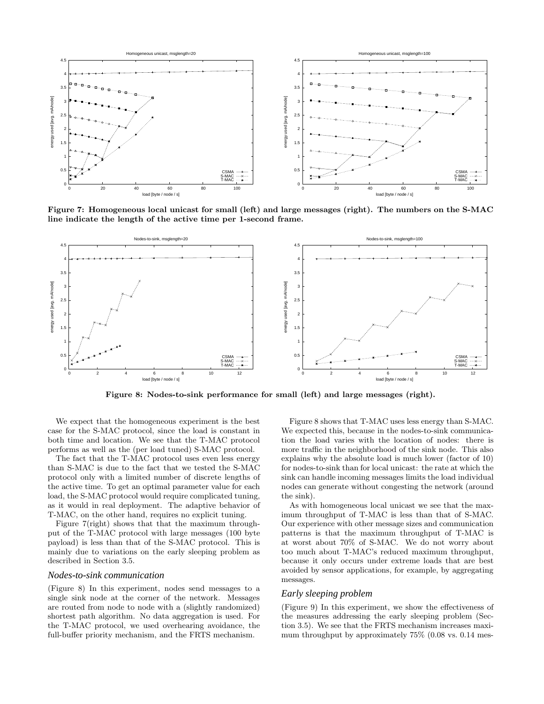

Figure 7: Homogeneous local unicast for small (left) and large messages (right). The numbers on the S-MAC line indicate the length of the active time per 1-second frame.



Figure 8: Nodes-to-sink performance for small (left) and large messages (right).

We expect that the homogeneous experiment is the best case for the S-MAC protocol, since the load is constant in both time and location. We see that the T-MAC protocol performs as well as the (per load tuned) S-MAC protocol.

The fact that the T-MAC protocol uses even less energy than S-MAC is due to the fact that we tested the S-MAC protocol only with a limited number of discrete lengths of the active time. To get an optimal parameter value for each load, the S-MAC protocol would require complicated tuning, as it would in real deployment. The adaptive behavior of T-MAC, on the other hand, requires no explicit tuning.

Figure 7(right) shows that that the maximum throughput of the T-MAC protocol with large messages (100 byte payload) is less than that of the S-MAC protocol. This is mainly due to variations on the early sleeping problem as described in Section 3.5.

#### *Nodes-to-sink communication*

(Figure 8) In this experiment, nodes send messages to a single sink node at the corner of the network. Messages are routed from node to node with a (slightly randomized) shortest path algorithm. No data aggregation is used. For the T-MAC protocol, we used overhearing avoidance, the full-buffer priority mechanism, and the FRTS mechanism.

Figure 8 shows that T-MAC uses less energy than S-MAC. We expected this, because in the nodes-to-sink communication the load varies with the location of nodes: there is more traffic in the neighborhood of the sink node. This also explains why the absolute load is much lower (factor of 10) for nodes-to-sink than for local unicast: the rate at which the sink can handle incoming messages limits the load individual nodes can generate without congesting the network (around the sink).

As with homogeneous local unicast we see that the maximum throughput of T-MAC is less than that of S-MAC. Our experience with other message sizes and communication patterns is that the maximum throughput of T-MAC is at worst about 70% of S-MAC. We do not worry about too much about T-MAC's reduced maximum throughput, because it only occurs under extreme loads that are best avoided by sensor applications, for example, by aggregating messages.

#### *Early sleeping problem*

(Figure 9) In this experiment, we show the effectiveness of the measures addressing the early sleeping problem (Section 3.5). We see that the FRTS mechanism increases maximum throughput by approximately 75% (0.08 vs. 0.14 mes-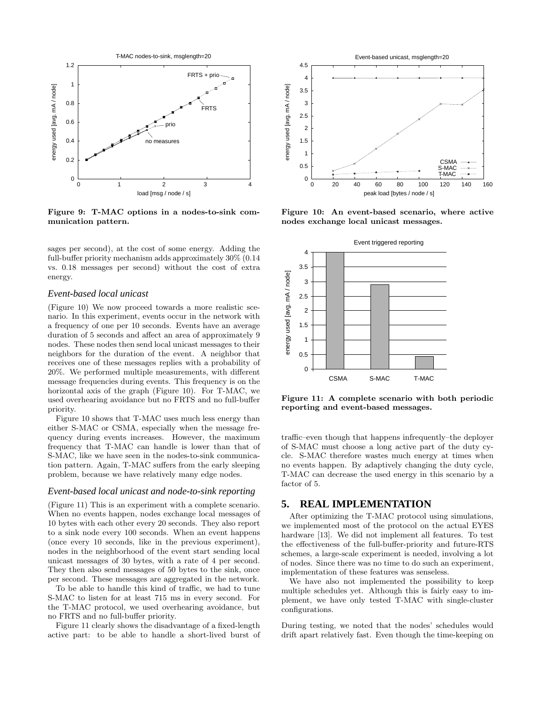

Figure 9: T-MAC options in a nodes-to-sink communication pattern.

sages per second), at the cost of some energy. Adding the full-buffer priority mechanism adds approximately 30% (0.14 vs. 0.18 messages per second) without the cost of extra energy.

## *Event-based local unicast*

(Figure 10) We now proceed towards a more realistic scenario. In this experiment, events occur in the network with a frequency of one per 10 seconds. Events have an average duration of 5 seconds and affect an area of approximately 9 nodes. These nodes then send local unicast messages to their neighbors for the duration of the event. A neighbor that receives one of these messages replies with a probability of 20%. We performed multiple measurements, with different message frequencies during events. This frequency is on the horizontal axis of the graph (Figure 10). For T-MAC, we used overhearing avoidance but no FRTS and no full-buffer priority.

Figure 10 shows that T-MAC uses much less energy than either S-MAC or CSMA, especially when the message frequency during events increases. However, the maximum frequency that T-MAC can handle is lower than that of S-MAC, like we have seen in the nodes-to-sink communication pattern. Again, T-MAC suffers from the early sleeping problem, because we have relatively many edge nodes.

#### *Event-based local unicast and node-to-sink reporting*

(Figure 11) This is an experiment with a complete scenario. When no events happen, nodes exchange local messages of 10 bytes with each other every 20 seconds. They also report to a sink node every 100 seconds. When an event happens (once every 10 seconds, like in the previous experiment), nodes in the neighborhood of the event start sending local unicast messages of 30 bytes, with a rate of 4 per second. They then also send messages of 50 bytes to the sink, once per second. These messages are aggregated in the network.

To be able to handle this kind of traffic, we had to tune S-MAC to listen for at least 715 ms in every second. For the T-MAC protocol, we used overhearing avoidance, but no FRTS and no full-buffer priority.

Figure 11 clearly shows the disadvantage of a fixed-length active part: to be able to handle a short-lived burst of



Figure 10: An event-based scenario, where active nodes exchange local unicast messages.



Figure 11: A complete scenario with both periodic reporting and event-based messages.

traffic–even though that happens infrequently–the deployer of S-MAC must choose a long active part of the duty cycle. S-MAC therefore wastes much energy at times when no events happen. By adaptively changing the duty cycle, T-MAC can decrease the used energy in this scenario by a factor of 5.

## **5. REAL IMPLEMENTATION**

After optimizing the T-MAC protocol using simulations, we implemented most of the protocol on the actual EYES hardware [13]. We did not implement all features. To test the effectiveness of the full-buffer-priority and future-RTS schemes, a large-scale experiment is needed, involving a lot of nodes. Since there was no time to do such an experiment, implementation of these features was senseless.

We have also not implemented the possibility to keep multiple schedules yet. Although this is fairly easy to implement, we have only tested T-MAC with single-cluster configurations.

During testing, we noted that the nodes' schedules would drift apart relatively fast. Even though the time-keeping on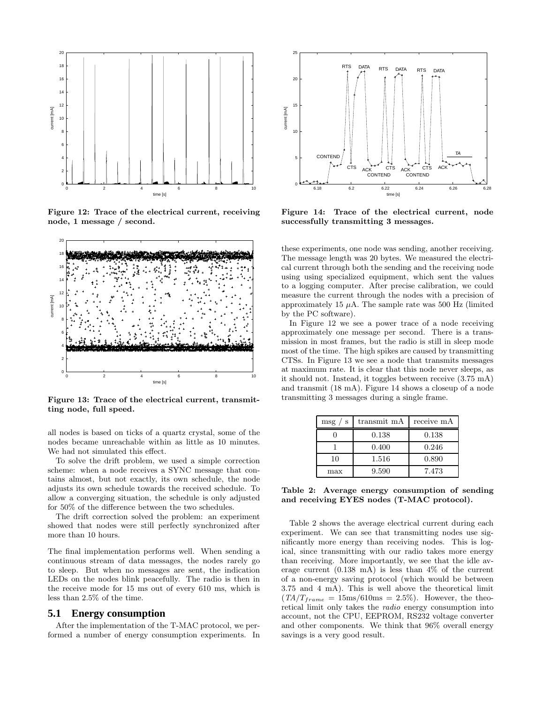

Figure 12: Trace of the electrical current, receiving node, 1 message / second.



Figure 13: Trace of the electrical current, transmitting node, full speed.

all nodes is based on ticks of a quartz crystal, some of the nodes became unreachable within as little as 10 minutes. We had not simulated this effect.

To solve the drift problem, we used a simple correction scheme: when a node receives a SYNC message that contains almost, but not exactly, its own schedule, the node adjusts its own schedule towards the received schedule. To allow a converging situation, the schedule is only adjusted for 50% of the difference between the two schedules.

The drift correction solved the problem: an experiment showed that nodes were still perfectly synchronized after more than 10 hours.

The final implementation performs well. When sending a continuous stream of data messages, the nodes rarely go to sleep. But when no messages are sent, the indication LEDs on the nodes blink peacefully. The radio is then in the receive mode for 15 ms out of every 610 ms, which is less than 2.5% of the time.

#### **5.1 Energy consumption**

After the implementation of the T-MAC protocol, we performed a number of energy consumption experiments. In



Figure 14: Trace of the electrical current, node successfully transmitting 3 messages.

these experiments, one node was sending, another receiving. The message length was 20 bytes. We measured the electrical current through both the sending and the receiving node using using specialized equipment, which sent the values to a logging computer. After precise calibration, we could measure the current through the nodes with a precision of approximately 15  $\mu$ A. The sample rate was 500 Hz (limited by the PC software).

In Figure 12 we see a power trace of a node receiving approximately one message per second. There is a transmission in most frames, but the radio is still in sleep mode most of the time. The high spikes are caused by transmitting CTSs. In Figure 13 we see a node that transmits messages at maximum rate. It is clear that this node never sleeps, as it should not. Instead, it toggles between receive (3.75 mA) and transmit (18 mA). Figure 14 shows a closeup of a node transmitting 3 messages during a single frame.

| msg<br>S | transmit mA | receive mA |
|----------|-------------|------------|
|          | 0.138       | 0.138      |
|          | 0.400       | 0.246      |
| 10       | 1.516       | 0.890      |
| max      | 9.590       | 7.473      |

Table 2: Average energy consumption of sending and receiving EYES nodes (T-MAC protocol).

Table 2 shows the average electrical current during each experiment. We can see that transmitting nodes use significantly more energy than receiving nodes. This is logical, since transmitting with our radio takes more energy than receiving. More importantly, we see that the idle average current  $(0.138 \text{ mA})$  is less than  $4\%$  of the current of a non-energy saving protocol (which would be between 3.75 and 4 mA). This is well above the theoretical limit  $(TA/T_{frame} = 15$ ms/610ms = 2.5%). However, the theoretical limit only takes the radio energy consumption into account, not the CPU, EEPROM, RS232 voltage converter and other components. We think that 96% overall energy savings is a very good result.